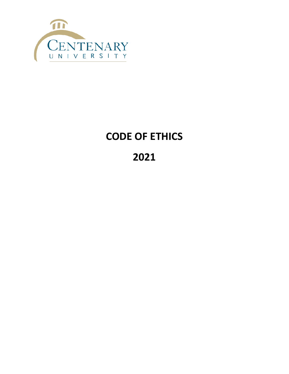

# **CODE OF ETHICS**

## **2021**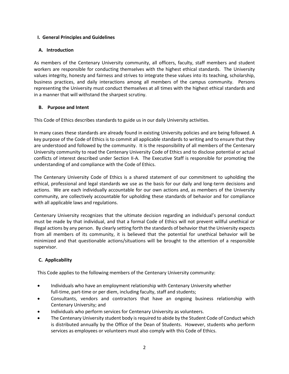## **I. General Principles and Guidelines**

## **A. Introduction**

As members of the Centenary University community, all officers, faculty, staff members and student workers are responsible for conducting themselves with the highest ethical standards. The University values integrity, honesty and fairness and strives to integrate these values into its teaching, scholarship, business practices, and daily interactions among all members of the campus community. Persons representing the University must conduct themselves at all times with the highest ethical standards and in a manner that will withstand the sharpest scrutiny.

## **B. Purpose and Intent**

This Code of Ethics describes standards to guide us in our daily University activities.

In many cases these standards are already found in existing University policies and are being followed. A key purpose of the Code of Ethics is to commit all applicable standards to writing and to ensure that they are understood and followed by the community. It is the responsibility of all members of the Centenary University community to read the Centenary University Code of Ethics and to disclose potential or actual conflicts of interest described under Section II-A. The Executive Staff is responsible for promoting the understanding of and compliance with the Code of Ethics.

The Centenary University Code of Ethics is a shared statement of our commitment to upholding the ethical, professional and legal standards we use as the basis for our daily and long-term decisions and actions. We are each individually accountable for our own actions and, as members of the University community, are collectively accountable for upholding these standards of behavior and for compliance with all applicable laws and regulations.

Centenary University recognizes that the ultimate decision regarding an individual's personal conduct must be made by that individual, and that a formal Code of Ethics will not prevent willful unethical or illegal actions by any person. By clearly setting forth the standards of behavior that the University expects from all members of its community, it is believed that the potential for unethical behavior will be minimized and that questionable actions/situations will be brought to the attention of a responsible supervisor.

## **C. Applicability**

This Code applies to the following members of the Centenary University community:

- Individuals who have an employment relationship with Centenary University whether full-time, part-time or per diem, including faculty, staff and students;
- Consultants, vendors and contractors that have an ongoing business relationship with Centenary University; and
- Individuals who perform services for Centenary University as volunteers.
- The Centenary University student body is required to abide by the Student Code of Conduct which is distributed annually by the Office of the Dean of Students. However, students who perform services as employees or volunteers must also comply with this Code of Ethics.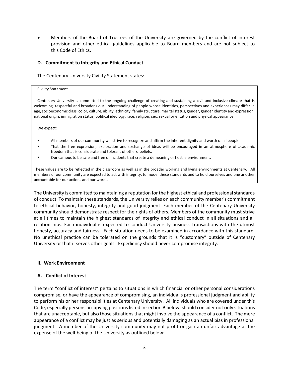• Members of the Board of Trustees of the University are governed by the conflict of interest provision and other ethical guidelines applicable to Board members and are not subject to this Code of Ethics.

#### **D. Commitment to Integrity and Ethical Conduct**

The Centenary University Civility Statement states:

#### Civility Statement

Centenary University is committed to the ongoing challenge of creating and sustaining a civil and inclusive climate that is welcoming, respectful and broadens our understanding of people whose identities, perspectives and experiences may differ in age, socioeconomic class, color, culture, ability, ethnicity, family structure, marital status, gender, gender identity and expression, national origin, immigration status, political ideology, race, religion, sex, sexual orientation and physical appearance.

We expect:

- All members of our community will strive to recognize and affirm the inherent dignity and worth of all people.
- That the free expression, exploration and exchange of ideas will be encouraged in an atmosphere of academic freedom that is considerate and tolerant of others' beliefs.
- Our campus to be safe and free of incidents that create a demeaning or hostile environment.

These values are to be reflected in the classroom as well as in the broader working and living environments at Centenary. All members of our community are expected to act with integrity, to model these standards and to hold ourselves and one another accountable for our actions and our words.

The University is committed to maintaining a reputation for the highest ethical and professional standards of conduct. To maintain these standards, the University relies on each community member's commitment to ethical behavior, honesty, integrity and good judgment. Each member of the Centenary University community should demonstrate respect for the rights of others. Members of the community must strive at all times to maintain the highest standards of integrity and ethical conduct in all situations and all relationships. Each individual is expected to conduct University business transactions with the utmost honesty, accuracy and fairness. Each situation needs to be examined in accordance with this standard. No unethical practice can be tolerated on the grounds that it is "customary" outside of Centenary University or that it serves other goals. Expediency should never compromise integrity.

## **II. Work Environment**

## **A. Conflict of Interest**

The term "conflict of interest" pertains to situations in which financial or other personal considerations compromise, or have the appearance of compromising, an individual's professional judgment and ability to perform his or her responsibilities at Centenary University. All individuals who are covered under this Code, especially persons occupying positions listed in section B below, should consider not only situations that are unacceptable, but also those situations that might involve the appearance of a conflict. The mere appearance of a conflict may be just as serious and potentially damaging as an actual bias in professional judgment. A member of the University community may not profit or gain an unfair advantage at the expense of the well-being of the University as outlined below: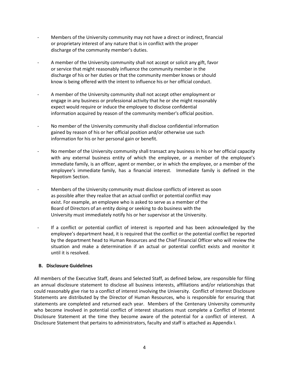- Members of the University community may not have a direct or indirect, financial or proprietary interest of any nature that is in conflict with the proper discharge of the community member's duties.
- A member of the University community shall not accept or solicit any gift, favor or service that might reasonably influence the community member in the discharge of his or her duties or that the community member knows or should know is being offered with the intent to influence his or her official conduct.
- A member of the University community shall not accept other employment or engage in any business or professional activity that he or she might reasonably expect would require or induce the employee to disclose confidential information acquired by reason of the community member's official position.
- No member of the University community shall disclose confidential information gained by reason of his or her official position and/or otherwise use such information for his or her personal gain or benefit.
- No member of the University community shall transact any business in his or her official capacity with any external business entity of which the employee, or a member of the employee's immediate family, is an officer, agent or member, or in which the employee, or a member of the employee's immediate family, has a financial interest. Immediate family is defined in the Nepotism Section.
- Members of the University community must disclose conflicts of interest as soon as possible after they realize that an actual conflict or potential conflict may exist. For example, an employee who is asked to serve as a member of the Board of Directors of an entity doing or seeking to do business with the University must immediately notify his or her supervisor at the University.
- If a conflict or potential conflict of interest is reported and has been acknowledged by the employee's department head, it is required that the conflict or the potential conflict be reported by the department head to Human Resources and the Chief Financial Officer who will review the situation and make a determination if an actual or potential conflict exists and monitor it until it is resolved.

## **B. Disclosure Guidelines**

All members of the Executive Staff, deans and Selected Staff, as defined below, are responsible for filing an annual disclosure statement to disclose all business interests, affiliations and/or relationships that could reasonably give rise to a conflict of interest involving the University. Conflict of Interest Disclosure Statements are distributed by the Director of Human Resources, who is responsible for ensuring that statements are completed and returned each year. Members of the Centenary University community who become involved in potential conflict of interest situations must complete a Conflict of Interest Disclosure Statement at the time they become aware of the potential for a conflict of interest. A Disclosure Statement that pertains to administrators, faculty and staff is attached as Appendix I.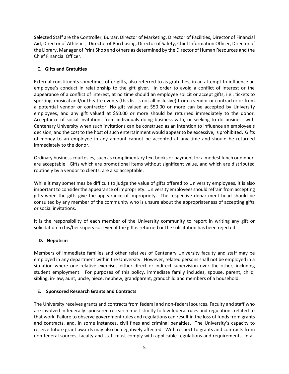Selected Staff are the Controller, Bursar, Director of Marketing, Director of Facilities, Director of Financial Aid, Director of Athletics, Director of Purchasing, Director of Safety, Chief Information Officer, Director of the Library, Manager of Print Shop and others as determined by the Director of Human Resources and the Chief Financial Officer.

## **C. Gifts and Gratuities**

External constituents sometimes offer gifts, also referred to as gratuities, in an attempt to influence an employee's conduct in relationship to the gift giver. In order to avoid a conflict of interest or the appearance of a conflict of interest, at no time should an employee solicit or accept gifts, i.e., tickets to sporting, musical and/or theatre events (this list is not all inclusive) from a vendor or contractor or from a potential vendor or contractor. No gift valued at \$50.00 or more can be accepted by University employees, and any gift valued at \$50.00 or more should be returned immediately to the donor. Acceptance of social invitations from individuals doing business with, or seeking to do business with Centenary University when such invitations can be construed as an intention to influence an employee's decision, and the cost to the host of such entertainment would appear to be excessive, is prohibited. Gifts of money to an employee in any amount cannot be accepted at any time and should be returned immediately to the donor.

Ordinary business courtesies, such as complimentary text books or payment for a modest lunch or dinner, are acceptable. Gifts which are promotional items without significant value, and which are distributed routinely by a vendor to clients, are also acceptable.

While it may sometimes be difficult to judge the value of gifts offered to University employees, it is also important to consider the appearance of impropriety. University employees should refrain from accepting gifts when the gifts give the appearance of impropriety. The respective department head should be consulted by any member of the community who is unsure about the appropriateness of accepting gifts or social invitations.

It is the responsibility of each member of the University community to report in writing any gift or solicitation to his/her supervisor even if the gift is returned or the solicitation has been rejected.

## **D. Nepotism**

Members of immediate families and other relatives of Centenary University faculty and staff may be employed in any department within the University. However, related persons shall not be employed in a situation where one relative exercises either direct or indirect supervision over the other, including student employment. For purposes of this policy, immediate family includes, spouse, parent, child, sibling, in-law, aunt, uncle, niece, nephew, grandparent, grandchild and members of a household.

## **E. Sponsored Research Grants and Contracts**

The University receives grants and contracts from federal and non-federal sources. Faculty and staff who are involved in federally sponsored research must strictly follow federal rules and regulations related to that work. Failure to observe government rules and regulations can result in the loss of funds from grants and contracts, and, in some instances, civil fines and criminal penalties. The University's capacity to receive future grant awards may also be negatively affected. With respect to grants and contracts from non-federal sources, faculty and staff must comply with applicable regulations and requirements. In all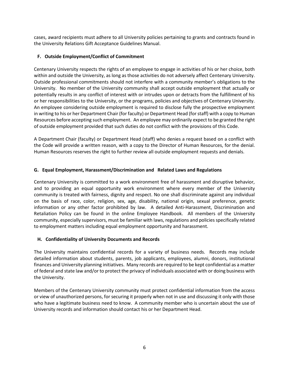cases, award recipients must adhere to all University policies pertaining to grants and contracts found in the University Relations Gift Acceptance Guidelines Manual.

## **F. Outside Employment/Conflict of Commitment**

Centenary University respects the rights of an employee to engage in activities of his or her choice, both within and outside the University, as long as those activities do not adversely affect Centenary University. Outside professional commitments should not interfere with a community member's obligations to the University. No member of the University community shall accept outside employment that actually or potentially results in any conflict of interest with or intrudes upon or detracts from the fulfillment of his or her responsibilities to the University, or the programs, policies and objectives of Centenary University. An employee considering outside employment is required to disclose fully the prospective employment in writing to his or her Department Chair (for faculty) or Department Head (for staff) with a copy to Human Resources before accepting such employment. An employee may ordinarily expect to be granted the right of outside employment provided that such duties do not conflict with the provisions of this Code.

A Department Chair (faculty) or Department Head (staff) who denies a request based on a conflict with the Code will provide a written reason, with a copy to the Director of Human Resources, for the denial. Human Resources reserves the right to further review all outside employment requests and denials.

## **G. Equal Employment, Harassment/Discrimination and Related Laws and Regulations**

Centenary University is committed to a work environment free of harassment and disruptive behavior, and to providing an equal opportunity work environment where every member of the University community is treated with fairness, dignity and respect. No one shall discriminate against any individual on the basis of race, color, religion, sex, age, disability, national origin, sexual preference, genetic information or any other factor prohibited by law. A detailed Anti-Harassment, Discrimination and Retaliation Policy can be found in the online Employee Handbook. All members of the University community, especially supervisors, must be familiar with laws, regulations and policies specifically related to employment matters including equal employment opportunity and harassment.

## **H. Confidentiality of University Documents and Records**

The University maintains confidential records for a variety of business needs. Records may include detailed information about students, parents, job applicants, employees, alumni, donors, institutional finances and University planning initiatives. Many records are required to be kept confidential as a matter of federal and state law and/or to protect the privacy of individuals associated with or doing business with the University.

Members of the Centenary University community must protect confidential information from the access or view of unauthorized persons, for securing it properly when not in use and discussing it only with those who have a legitimate business need to know. A community member who is uncertain about the use of University records and information should contact his or her Department Head.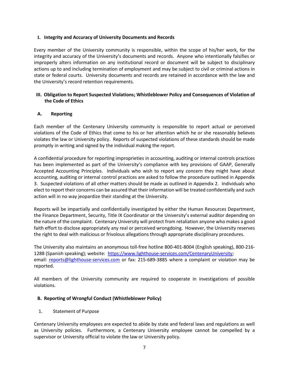## **I. Integrity and Accuracy of University Documents and Records**

Every member of the University community is responsible, within the scope of his/her work, for the integrity and accuracy of the University's documents and records. Anyone who intentionally falsifies or improperly alters information on any institutional record or document will be subject to disciplinary actions up to and including termination of employment and may be subject to civil or criminal actions in state or federal courts. University documents and records are retained in accordance with the law and the University's record retention requirements.

## **III. Obligation to Report Suspected Violations; Whistleblower Policy and Consequences of Violation of the Code of Ethics**

## **A. Reporting**

Each member of the Centenary University community is responsible to report actual or perceived violations of the Code of Ethics that come to his or her attention which he or she reasonably believes violates the law or University policy. Reports of suspected violations of these standards should be made promptly in writing and signed by the individual making the report.

A confidential procedure for reporting improprieties in accounting, auditing or internal controls practices has been implemented as part of the University's compliance with key provisions of GAAP, Generally Accepted Accounting Principles. Individuals who wish to report any concern they might have about accounting, auditing or internal control practices are asked to follow the procedure outlined in Appendix 3. Suspected violations of all other matters should be made as outlined in Appendix 2. Individuals who elect to report their concerns can be assured that their information will be treated confidentially and such action will in no way jeopardize their standing at the University.

Reports will be impartially and confidentially investigated by either the Human Resources Department, the Finance Department, Security, Title IX Coordinator or the University's external auditor depending on the nature of the complaint. Centenary University will protect from retaliation anyone who makes a good faith effort to disclose appropriately any real or perceived wrongdoing. However, the University reserves the right to deal with malicious or frivolous allegations through appropriate disciplinary procedures.

The University also maintains an anonymous toll-free hotline 800-401-8004 (English speaking), 800-216- 1288 (Spanish speaking); website: [https://www.lighthouse-services.com/CentenaryUniversity;](https://www.lighthouse-services.com/CentenaryUniversity) email: [reports@lighthouse-services.com](mailto:reports@lighthouse-services.com) or fax: 215-689-3885 where a complaint or violation may be reported.

All members of the University community are required to cooperate in investigations of possible violations.

## **B. Reporting of Wrongful Conduct (Whistleblower Policy)**

## 1. Statement of Purpose

Centenary University employees are expected to abide by state and federal laws and regulations as well as University policies. Furthermore, a Centenary University employee cannot be compelled by a supervisor or University official to violate the law or University policy.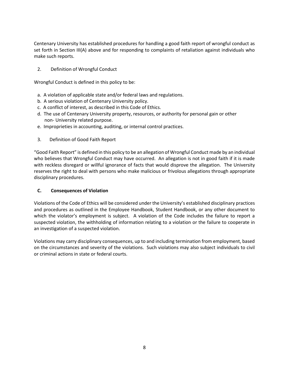Centenary University has established procedures for handling a good faith report of wrongful conduct as set forth in Section III(A) above and for responding to complaints of retaliation against individuals who make such reports.

2. Definition of Wrongful Conduct

Wrongful Conduct is defined in this policy to be:

- a. A violation of applicable state and/or federal laws and regulations.
- b. A serious violation of Centenary University policy.
- c. A conflict of interest, as described in this Code of Ethics.
- d. The use of Centenary University property, resources, or authority for personal gain or other non- University related purpose.
- e. Improprieties in accounting, auditing, or internal control practices.
- 3. Definition of Good Faith Report

"Good Faith Report" is defined in this policy to be an allegation of Wrongful Conduct made by an individual who believes that Wrongful Conduct may have occurred. An allegation is not in good faith if it is made with reckless disregard or willful ignorance of facts that would disprove the allegation. The University reserves the right to deal with persons who make malicious or frivolous allegations through appropriate disciplinary procedures.

## **C. Consequences of Violation**

Violations of the Code of Ethics will be considered under the University's established disciplinary practices and procedures as outlined in the Employee Handbook, Student Handbook, or any other document to which the violator's employment is subject. A violation of the Code includes the failure to report a suspected violation, the withholding of information relating to a violation or the failure to cooperate in an investigation of a suspected violation.

Violations may carry disciplinary consequences, up to and including termination from employment, based on the circumstances and severity of the violations. Such violations may also subject individuals to civil or criminal actions in state or federal courts.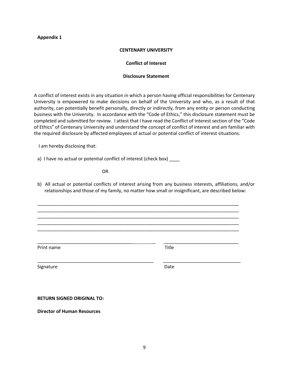#### **Appendix 1**

#### **CENTENARY UNIVERSITY**

#### **Conflict of Interest**

#### **Disclosure Statement**

A conflict of interest exists in any situation in which a person having official responsibilities for Centenary University is empowered to make decisions on behalf of the University and who, as a result of that authority, can potentially benefit personally, directly or indirectly, from any entity or person conducting business with the University. In accordance with the "Code of Ethics," this disclosure statement must be completed and submitted for review. I attest that I have read the Conflict of Interest section of the "Code of Ethics" of Centenary University and understand the concept of conflict of interest and am familiar with the required disclosure by affected employees of actual or potential conflict of interest situations.

I am hereby disclosing that:

a) I have no actual or potential conflict of interest (check box) \_\_\_\_\_

**OR** STREET STREET AND THE STREET STREET STREET AND THE STREET STREET STREET AND THE STREET STREET STREET AND THE STREET AND THE STREET AND THE STREET AND THE STREET AND THE STREET AND THE STREET AND THE STREET AND THE STR

b) All actual or potential conflicts of interest arising from any business interests, affiliations, and/or relationships and those of my family, no matter how small or insignificant, are described below:

\_\_\_\_\_\_\_\_\_\_\_\_\_\_\_\_\_\_\_\_\_\_\_\_\_\_\_\_\_\_\_\_\_\_\_\_\_\_\_\_\_\_\_\_\_\_\_\_\_\_\_\_\_\_\_\_\_\_\_\_\_\_\_\_\_\_\_\_\_\_\_\_\_\_\_\_\_\_ \_\_\_\_\_\_\_\_\_\_\_\_\_\_\_\_\_\_\_\_\_\_\_\_\_\_\_\_\_\_\_\_\_\_\_\_\_\_\_\_\_\_\_\_\_\_\_\_\_\_\_\_\_\_\_\_\_\_\_\_\_\_\_\_\_\_\_\_\_\_\_\_\_\_\_\_\_\_ \_\_\_\_\_\_\_\_\_\_\_\_\_\_\_\_\_\_\_\_\_\_\_\_\_\_\_\_\_\_\_\_\_\_\_\_\_\_\_\_\_\_\_\_\_\_\_\_\_\_\_\_\_\_\_\_\_\_\_\_\_\_\_\_\_\_\_\_\_\_\_\_\_\_\_\_\_\_ \_\_\_\_\_\_\_\_\_\_\_\_\_\_\_\_\_\_\_\_\_\_\_\_\_\_\_\_\_\_\_\_\_\_\_\_\_\_\_\_\_\_\_\_\_\_\_\_\_\_\_\_\_\_\_\_\_\_\_\_\_\_\_\_\_\_\_\_\_\_\_\_\_\_\_\_\_\_ \_\_\_\_\_\_\_\_\_\_\_\_\_\_\_\_\_\_\_\_\_\_\_\_\_\_\_\_\_\_\_\_\_\_\_\_\_\_\_\_\_\_\_\_\_\_\_\_\_\_\_\_\_\_\_\_\_\_\_\_\_\_\_\_\_\_\_\_\_\_\_\_\_\_\_\_\_\_

\_\_\_\_\_\_\_\_\_\_\_\_\_\_\_\_\_\_\_\_\_\_\_\_\_\_\_\_\_\_\_\_\_\_\_\_\_ \_ \_\_\_\_\_\_\_\_\_\_\_\_\_\_\_\_\_\_\_\_\_\_\_\_\_\_\_\_\_

\_\_\_\_\_\_\_\_\_\_\_\_\_\_\_\_\_\_\_\_\_\_\_\_\_\_\_\_\_\_\_\_\_\_\_\_\_\_\_\_\_\_\_\_\_ \_\_\_\_\_\_\_\_\_\_\_\_\_\_\_\_\_\_\_\_\_\_\_\_\_\_\_\_\_\_

Print name Title

Signature Date Date Date Date

**RETURN SIGNED ORIGINAL TO:** 

**Director of Human Resources**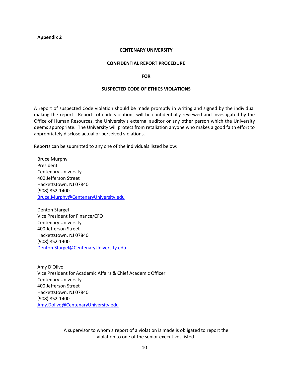#### **Appendix 2**

#### **CENTENARY UNIVERSITY**

#### **CONFIDENTIAL REPORT PROCEDURE**

#### **FOR**

#### **SUSPECTED CODE OF ETHICS VIOLATIONS**

A report of suspected Code violation should be made promptly in writing and signed by the individual making the report. Reports of code violations will be confidentially reviewed and investigated by the Office of Human Resources, the University's external auditor or any other person which the University deems appropriate. The University will protect from retaliation anyone who makes a good faith effort to appropriately disclose actual or perceived violations.

Reports can be submitted to any one of the individuals listed below:

Bruce Murphy President Centenary University 400 Jefferson Street Hackettstown, NJ 07840 (908) 852-1400 [Bruce.Murphy@CentenaryUniversity.edu](mailto:Bruce.Murphy@CentenaryUniversity.edu)

Denton Stargel Vice President for Finance/CFO Centenary University 400 Jefferson Street Hackettstown, NJ 07840 (908) 852-1400 [Denton.Stargel@CentenaryUniversity.edu](mailto:Denton.Stargel@CentenaryUniversity.edu)

Amy D'Olivo Vice President for Academic Affairs & Chief Academic Officer Centenary University 400 Jefferson Street Hackettstown, NJ 07840 (908) 852-1400 Amy.Dolivo@CentenaryUniversity.edu

> A supervisor to whom a report of a violation is made is obligated to report the violation to one of the senior executives listed.